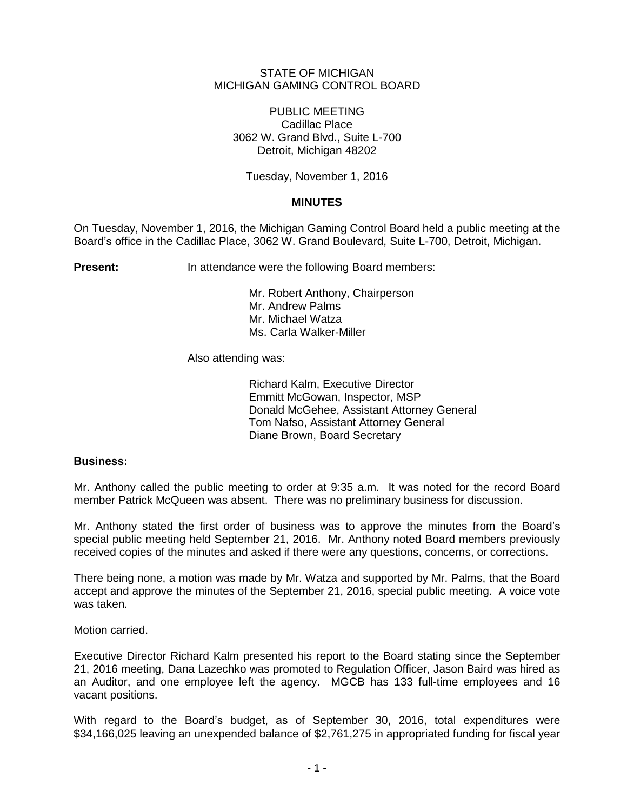## STATE OF MICHIGAN MICHIGAN GAMING CONTROL BOARD

PUBLIC MEETING Cadillac Place 3062 W. Grand Blvd., Suite L-700 Detroit, Michigan 48202

Tuesday, November 1, 2016

## **MINUTES**

On Tuesday, November 1, 2016, the Michigan Gaming Control Board held a public meeting at the Board's office in the Cadillac Place, 3062 W. Grand Boulevard, Suite L-700, Detroit, Michigan.

**Present:** In attendance were the following Board members:

Mr. Robert Anthony, Chairperson Mr. Andrew Palms Mr. Michael Watza Ms. Carla Walker-Miller

Also attending was:

Richard Kalm, Executive Director Emmitt McGowan, Inspector, MSP Donald McGehee, Assistant Attorney General Tom Nafso, Assistant Attorney General Diane Brown, Board Secretary

## **Business:**

Mr. Anthony called the public meeting to order at 9:35 a.m. It was noted for the record Board member Patrick McQueen was absent. There was no preliminary business for discussion.

Mr. Anthony stated the first order of business was to approve the minutes from the Board's special public meeting held September 21, 2016. Mr. Anthony noted Board members previously received copies of the minutes and asked if there were any questions, concerns, or corrections.

There being none, a motion was made by Mr. Watza and supported by Mr. Palms, that the Board accept and approve the minutes of the September 21, 2016, special public meeting. A voice vote was taken.

Motion carried.

Executive Director Richard Kalm presented his report to the Board stating since the September 21, 2016 meeting, Dana Lazechko was promoted to Regulation Officer, Jason Baird was hired as an Auditor, and one employee left the agency. MGCB has 133 full-time employees and 16 vacant positions.

With regard to the Board's budget, as of September 30, 2016, total expenditures were \$34,166,025 leaving an unexpended balance of \$2,761,275 in appropriated funding for fiscal year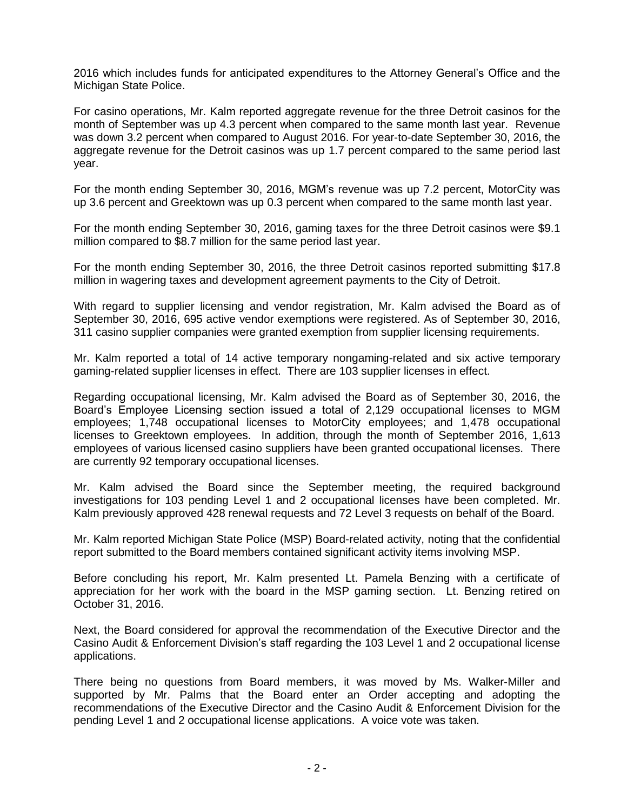2016 which includes funds for anticipated expenditures to the Attorney General's Office and the Michigan State Police.

For casino operations, Mr. Kalm reported aggregate revenue for the three Detroit casinos for the month of September was up 4.3 percent when compared to the same month last year. Revenue was down 3.2 percent when compared to August 2016. For year-to-date September 30, 2016, the aggregate revenue for the Detroit casinos was up 1.7 percent compared to the same period last year.

For the month ending September 30, 2016, MGM's revenue was up 7.2 percent, MotorCity was up 3.6 percent and Greektown was up 0.3 percent when compared to the same month last year.

For the month ending September 30, 2016, gaming taxes for the three Detroit casinos were \$9.1 million compared to \$8.7 million for the same period last year.

For the month ending September 30, 2016, the three Detroit casinos reported submitting \$17.8 million in wagering taxes and development agreement payments to the City of Detroit.

With regard to supplier licensing and vendor registration, Mr. Kalm advised the Board as of September 30, 2016, 695 active vendor exemptions were registered. As of September 30, 2016, 311 casino supplier companies were granted exemption from supplier licensing requirements.

Mr. Kalm reported a total of 14 active temporary nongaming-related and six active temporary gaming-related supplier licenses in effect. There are 103 supplier licenses in effect.

Regarding occupational licensing, Mr. Kalm advised the Board as of September 30, 2016, the Board's Employee Licensing section issued a total of 2,129 occupational licenses to MGM employees; 1,748 occupational licenses to MotorCity employees; and 1,478 occupational licenses to Greektown employees. In addition, through the month of September 2016, 1,613 employees of various licensed casino suppliers have been granted occupational licenses. There are currently 92 temporary occupational licenses.

Mr. Kalm advised the Board since the September meeting, the required background investigations for 103 pending Level 1 and 2 occupational licenses have been completed. Mr. Kalm previously approved 428 renewal requests and 72 Level 3 requests on behalf of the Board.

Mr. Kalm reported Michigan State Police (MSP) Board-related activity, noting that the confidential report submitted to the Board members contained significant activity items involving MSP.

Before concluding his report, Mr. Kalm presented Lt. Pamela Benzing with a certificate of appreciation for her work with the board in the MSP gaming section. Lt. Benzing retired on October 31, 2016.

Next, the Board considered for approval the recommendation of the Executive Director and the Casino Audit & Enforcement Division's staff regarding the 103 Level 1 and 2 occupational license applications.

There being no questions from Board members, it was moved by Ms. Walker-Miller and supported by Mr. Palms that the Board enter an Order accepting and adopting the recommendations of the Executive Director and the Casino Audit & Enforcement Division for the pending Level 1 and 2 occupational license applications. A voice vote was taken.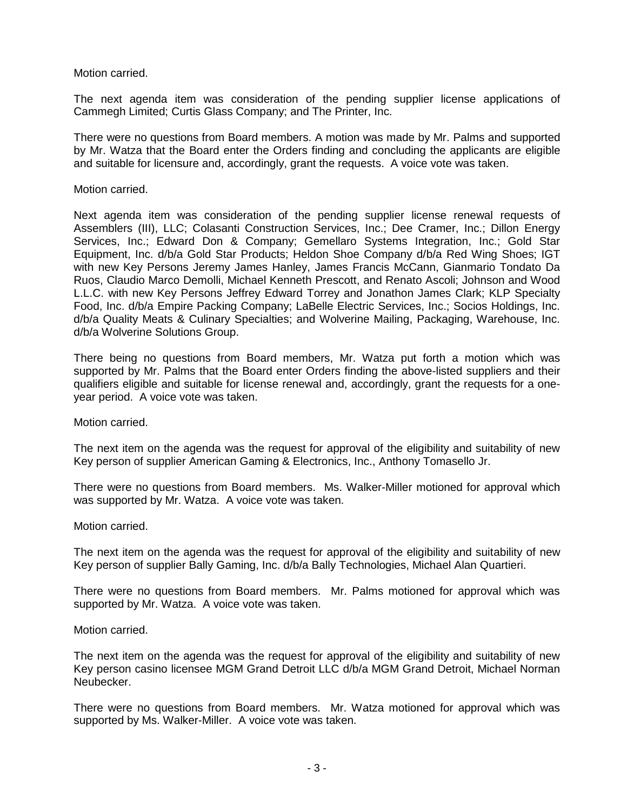Motion carried.

The next agenda item was consideration of the pending supplier license applications of Cammegh Limited; Curtis Glass Company; and The Printer, Inc.

There were no questions from Board members. A motion was made by Mr. Palms and supported by Mr. Watza that the Board enter the Orders finding and concluding the applicants are eligible and suitable for licensure and, accordingly, grant the requests. A voice vote was taken.

## Motion carried.

Next agenda item was consideration of the pending supplier license renewal requests of Assemblers (III), LLC; Colasanti Construction Services, Inc.; Dee Cramer, Inc.; Dillon Energy Services, Inc.; Edward Don & Company; Gemellaro Systems Integration, Inc.; Gold Star Equipment, Inc. d/b/a Gold Star Products; Heldon Shoe Company d/b/a Red Wing Shoes; IGT with new Key Persons Jeremy James Hanley, James Francis McCann, Gianmario Tondato Da Ruos, Claudio Marco Demolli, Michael Kenneth Prescott, and Renato Ascoli; Johnson and Wood L.L.C. with new Key Persons Jeffrey Edward Torrey and Jonathon James Clark; KLP Specialty Food, Inc. d/b/a Empire Packing Company; LaBelle Electric Services, Inc.; Socios Holdings, Inc. d/b/a Quality Meats & Culinary Specialties; and Wolverine Mailing, Packaging, Warehouse, Inc. d/b/a Wolverine Solutions Group.

There being no questions from Board members, Mr. Watza put forth a motion which was supported by Mr. Palms that the Board enter Orders finding the above-listed suppliers and their qualifiers eligible and suitable for license renewal and, accordingly, grant the requests for a oneyear period. A voice vote was taken.

Motion carried.

The next item on the agenda was the request for approval of the eligibility and suitability of new Key person of supplier American Gaming & Electronics, Inc., Anthony Tomasello Jr.

There were no questions from Board members. Ms. Walker-Miller motioned for approval which was supported by Mr. Watza. A voice vote was taken.

Motion carried.

The next item on the agenda was the request for approval of the eligibility and suitability of new Key person of supplier Bally Gaming, Inc. d/b/a Bally Technologies, Michael Alan Quartieri.

There were no questions from Board members. Mr. Palms motioned for approval which was supported by Mr. Watza. A voice vote was taken.

Motion carried.

The next item on the agenda was the request for approval of the eligibility and suitability of new Key person casino licensee MGM Grand Detroit LLC d/b/a MGM Grand Detroit, Michael Norman Neubecker.

There were no questions from Board members. Mr. Watza motioned for approval which was supported by Ms. Walker-Miller. A voice vote was taken.